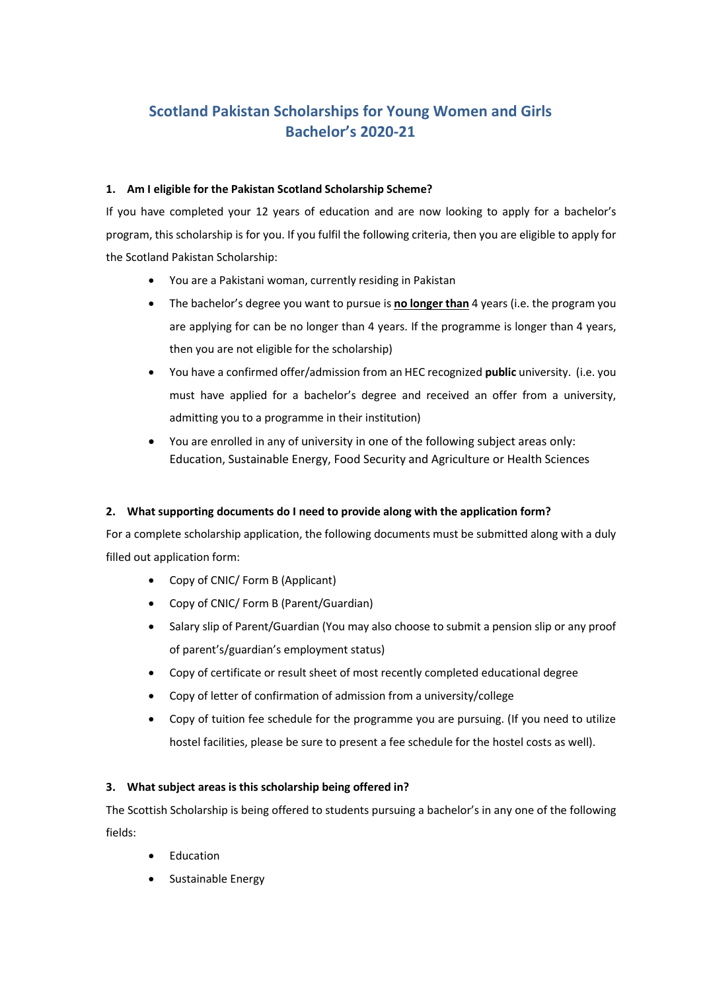# **Scotland Pakistan Scholarships for Young Women and Girls Bachelor's 2020-21**

### **1. Am I eligible for the Pakistan Scotland Scholarship Scheme?**

If you have completed your 12 years of education and are now looking to apply for a bachelor's program, this scholarship is for you. If you fulfil the following criteria, then you are eligible to apply for the Scotland Pakistan Scholarship:

- You are a Pakistani woman, currently residing in Pakistan
- The bachelor's degree you want to pursue is **no longer than** 4 years (i.e. the program you are applying for can be no longer than 4 years. If the programme is longer than 4 years, then you are not eligible for the scholarship)
- You have a confirmed offer/admission from an HEC recognized **public** university. (i.e. you must have applied for a bachelor's degree and received an offer from a university, admitting you to a programme in their institution)
- You are enrolled in any of university in one of the following subject areas only: Education, Sustainable Energy, Food Security and Agriculture or Health Sciences

## **2. What supporting documents do I need to provide along with the application form?**

For a complete scholarship application, the following documents must be submitted along with a duly filled out application form:

- Copy of CNIC/ Form B (Applicant)
- Copy of CNIC/ Form B (Parent/Guardian)
- Salary slip of Parent/Guardian (You may also choose to submit a pension slip or any proof of parent's/guardian's employment status)
- Copy of certificate or result sheet of most recently completed educational degree
- Copy of letter of confirmation of admission from a university/college
- Copy of tuition fee schedule for the programme you are pursuing. (If you need to utilize hostel facilities, please be sure to present a fee schedule for the hostel costs as well).

## **3. What subject areas is this scholarship being offered in?**

The Scottish Scholarship is being offered to students pursuing a bachelor's in any one of the following fields:

- Education
- Sustainable Energy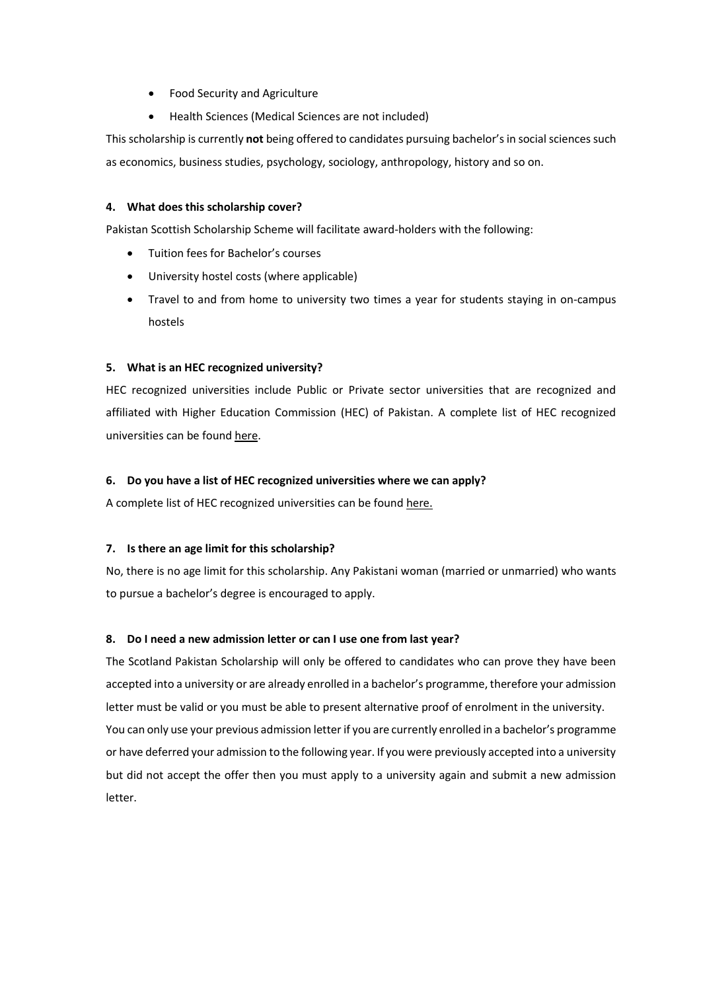- Food Security and Agriculture
- Health Sciences (Medical Sciences are not included)

This scholarship is currently **not** being offered to candidates pursuing bachelor's in social sciences such as economics, business studies, psychology, sociology, anthropology, history and so on.

### **4. What does this scholarship cover?**

Pakistan Scottish Scholarship Scheme will facilitate award-holders with the following:

- Tuition fees for Bachelor's courses
- University hostel costs (where applicable)
- Travel to and from home to university two times a year for students staying in on-campus hostels

### **5. What is an HEC recognized university?**

HEC recognized universities include Public or Private sector universities that are recognized and affiliated with Higher Education Commission (HEC) of Pakistan. A complete list of HEC recognized universities can be foun[d here.](http://www.hec.gov.pk/english/universities/pages/recognised.aspx)

### **6. Do you have a list of HEC recognized universities where we can apply?**

A complete list of HEC recognized universities can be found [here.](http://www.hec.gov.pk/english/universities/pages/recognised.aspx)

### **7. Is there an age limit for this scholarship?**

No, there is no age limit for this scholarship. Any Pakistani woman (married or unmarried) who wants to pursue a bachelor's degree is encouraged to apply.

### **8. Do I need a new admission letter or can I use one from last year?**

The Scotland Pakistan Scholarship will only be offered to candidates who can prove they have been accepted into a university or are already enrolled in a bachelor's programme, therefore your admission letter must be valid or you must be able to present alternative proof of enrolment in the university. You can only use your previous admission letter if you are currently enrolled in a bachelor's programme or have deferred your admission to the following year. If you were previously accepted into a university but did not accept the offer then you must apply to a university again and submit a new admission letter.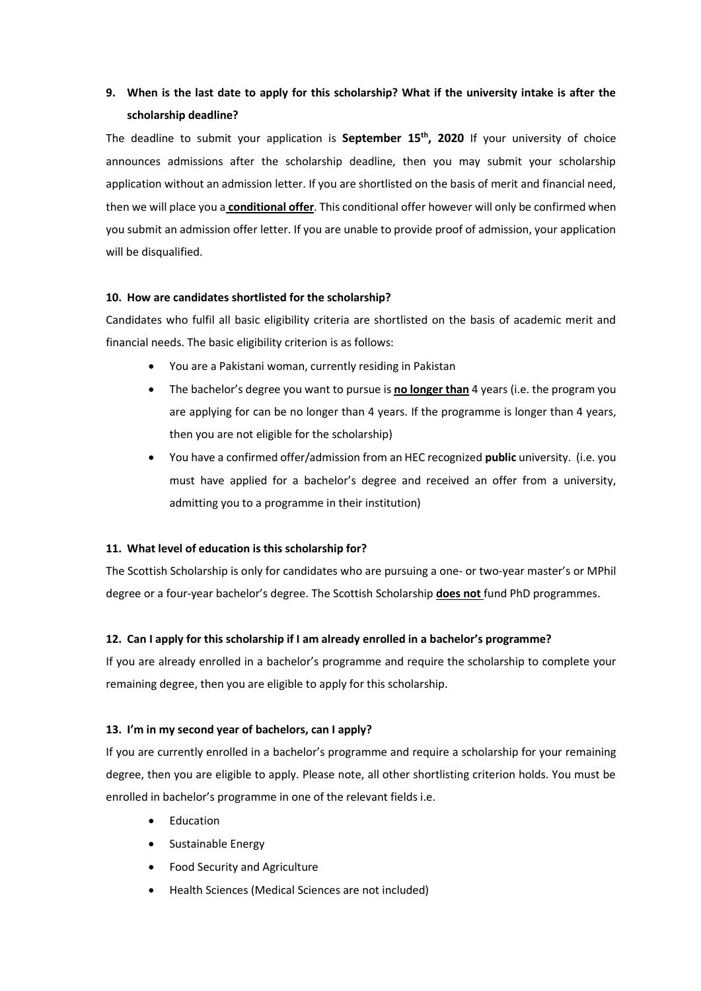# **9. When is the last date to apply for this scholarship? What if the university intake is after the scholarship deadline?**

The deadline to submit your application is **September 15th, 2020** If your university of choice announces admissions after the scholarship deadline, then you may submit your scholarship application without an admission letter. If you are shortlisted on the basis of merit and financial need, then we will place you a **conditional offer**. This conditional offer however will only be confirmed when you submit an admission offer letter. If you are unable to provide proof of admission, your application will be disqualified.

### **10. How are candidates shortlisted for the scholarship?**

Candidates who fulfil all basic eligibility criteria are shortlisted on the basis of academic merit and financial needs. The basic eligibility criterion is as follows:

- You are a Pakistani woman, currently residing in Pakistan
- The bachelor's degree you want to pursue is **no longer than** 4 years (i.e. the program you are applying for can be no longer than 4 years. If the programme is longer than 4 years, then you are not eligible for the scholarship)
- You have a confirmed offer/admission from an HEC recognized **public** university. (i.e. you must have applied for a bachelor's degree and received an offer from a university, admitting you to a programme in their institution)

### **11. What level of education is this scholarship for?**

The Scottish Scholarship is only for candidates who are pursuing a one- or two-year master's or MPhil degree or a four-year bachelor's degree. The Scottish Scholarship **does not** fund PhD programmes.

### **12. Can I apply for this scholarship if I am already enrolled in a bachelor's programme?**

If you are already enrolled in a bachelor's programme and require the scholarship to complete your remaining degree, then you are eligible to apply for this scholarship.

### **13. I'm in my second year of bachelors, can I apply?**

If you are currently enrolled in a bachelor's programme and require a scholarship for your remaining degree, then you are eligible to apply. Please note, all other shortlisting criterion holds. You must be enrolled in bachelor's programme in one of the relevant fields i.e.

- Education
- Sustainable Energy
- Food Security and Agriculture
- Health Sciences (Medical Sciences are not included)